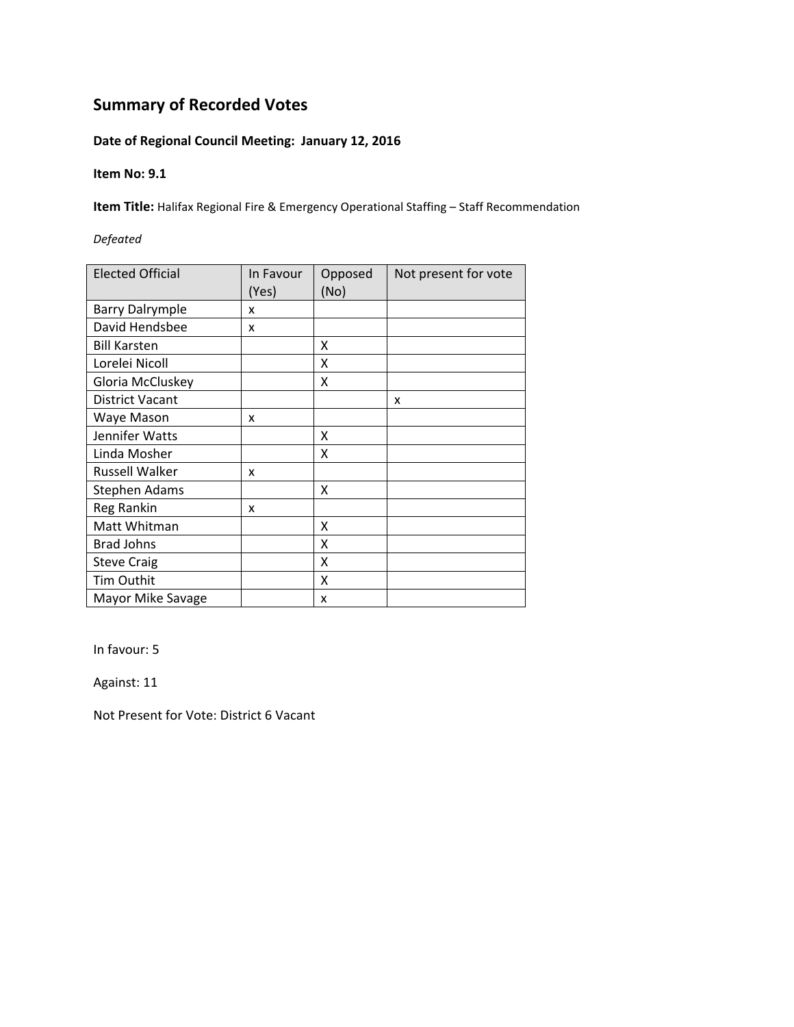## **Date of Regional Council Meeting: January 12, 2016**

#### **Item No: 9.1**

**Item Title:** Halifax Regional Fire & Emergency Operational Staffing – Staff Recommendation

### *Defeated*

| <b>Elected Official</b> | In Favour<br>(Yes) | Opposed<br>(No) | Not present for vote |
|-------------------------|--------------------|-----------------|----------------------|
| <b>Barry Dalrymple</b>  | x                  |                 |                      |
| David Hendsbee          | X                  |                 |                      |
| <b>Bill Karsten</b>     |                    | X               |                      |
| Lorelei Nicoll          |                    | X               |                      |
| Gloria McCluskey        |                    | x               |                      |
| <b>District Vacant</b>  |                    |                 | x                    |
| Waye Mason              | x                  |                 |                      |
| Jennifer Watts          |                    | x               |                      |
| Linda Mosher            |                    | x               |                      |
| <b>Russell Walker</b>   | x                  |                 |                      |
| <b>Stephen Adams</b>    |                    | x               |                      |
| Reg Rankin              | x                  |                 |                      |
| Matt Whitman            |                    | X               |                      |
| <b>Brad Johns</b>       |                    | X               |                      |
| <b>Steve Craig</b>      |                    | X               |                      |
| Tim Outhit              |                    | X               |                      |
| Mayor Mike Savage       |                    | x               |                      |

In favour: 5

Against: 11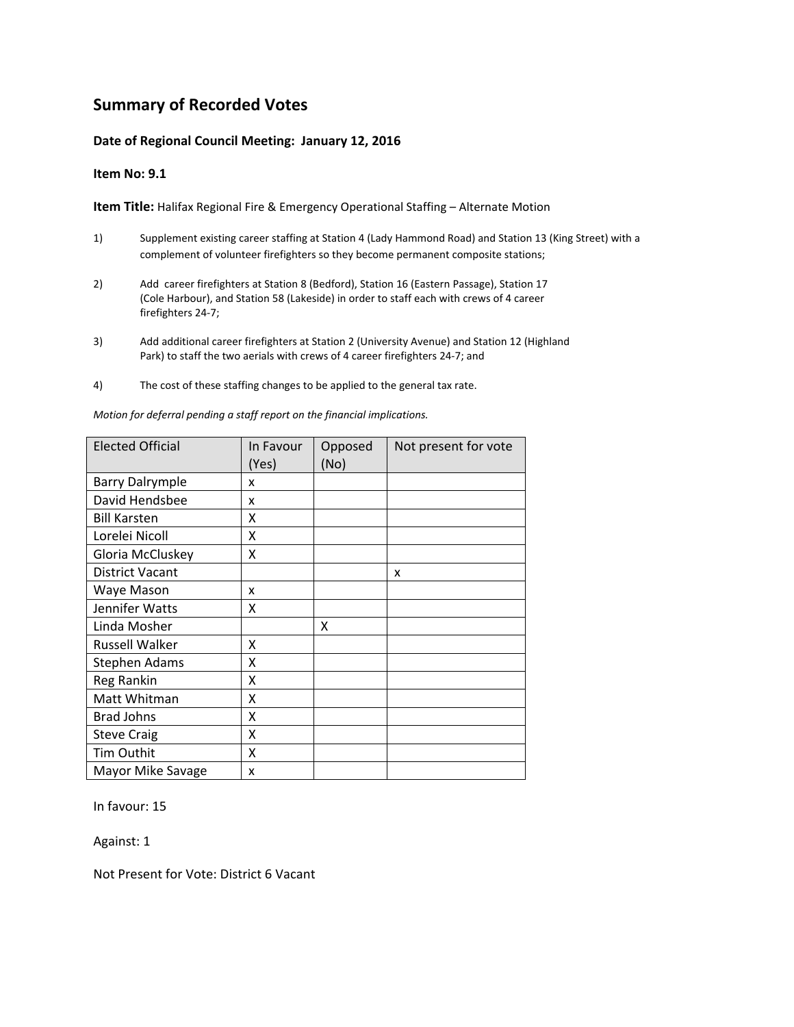#### **Date of Regional Council Meeting: January 12, 2016**

#### **Item No: 9.1**

**Item Title:** Halifax Regional Fire & Emergency Operational Staffing – Alternate Motion

- 1) Supplement existing career staffing at Station 4 (Lady Hammond Road) and Station 13 (King Street) with a complement of volunteer firefighters so they become permanent composite stations;
- 2) Add career firefighters at Station 8 (Bedford), Station 16 (Eastern Passage), Station 17 (Cole Harbour), and Station 58 (Lakeside) in order to staff each with crews of 4 career firefighters 24‐7;
- 3) Add additional career firefighters at Station 2 (University Avenue) and Station 12 (Highland Park) to staff the two aerials with crews of 4 career firefighters 24‐7; and
- 4) The cost of these staffing changes to be applied to the general tax rate.

Elected Official | In Favour (Yes) Opposed (No) Not present for vote Barry Dalrymple | x David Hendsbee x Bill Karsten X Lorelei Nicoll X Gloria McCluskey | X District Vacant  $\vert$   $\vert$   $\vert$   $\vert$   $\vert$  x Waye Mason  $\vert x \vert$ Jennifer Watts X Linda Mosher **X** X Russell Walker X Stephen Adams X Reg Rankin X Matt Whitman X Brad Johns X Steve Craig X Tim Outhit X Mayor Mike Savage  $\vert x \vert$ 

*Motion for deferral pending a staff report on the financial implications.*

In favour: 15

Against: 1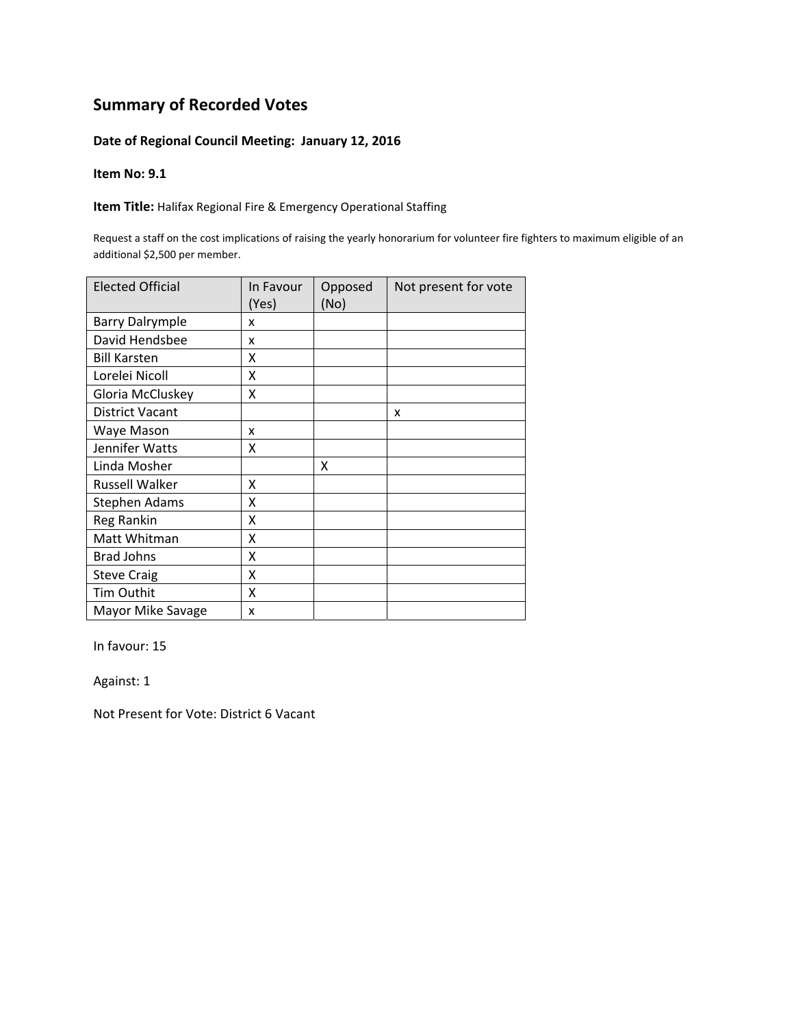#### **Date of Regional Council Meeting: January 12, 2016**

#### **Item No: 9.1**

**Item Title:** Halifax Regional Fire & Emergency Operational Staffing

Request a staff on the cost implications of raising the yearly honorarium for volunteer fire fighters to maximum eligible of an additional \$2,500 per member.

| <b>Elected Official</b> | In Favour<br>(Yes) | Opposed<br>(No) | Not present for vote |
|-------------------------|--------------------|-----------------|----------------------|
| <b>Barry Dalrymple</b>  | x                  |                 |                      |
| David Hendsbee          | x                  |                 |                      |
| <b>Bill Karsten</b>     | x                  |                 |                      |
| Lorelei Nicoll          | Χ                  |                 |                      |
| Gloria McCluskey        | X                  |                 |                      |
| <b>District Vacant</b>  |                    |                 | x                    |
| Waye Mason              | x                  |                 |                      |
| Jennifer Watts          | χ                  |                 |                      |
| Linda Mosher            |                    | x               |                      |
| <b>Russell Walker</b>   | Χ                  |                 |                      |
| <b>Stephen Adams</b>    | Χ                  |                 |                      |
| Reg Rankin              | X                  |                 |                      |
| Matt Whitman            | X                  |                 |                      |
| <b>Brad Johns</b>       | X                  |                 |                      |
| <b>Steve Craig</b>      | X                  |                 |                      |
| Tim Outhit              | X                  |                 |                      |
| Mayor Mike Savage       | x                  |                 |                      |

In favour: 15

Against: 1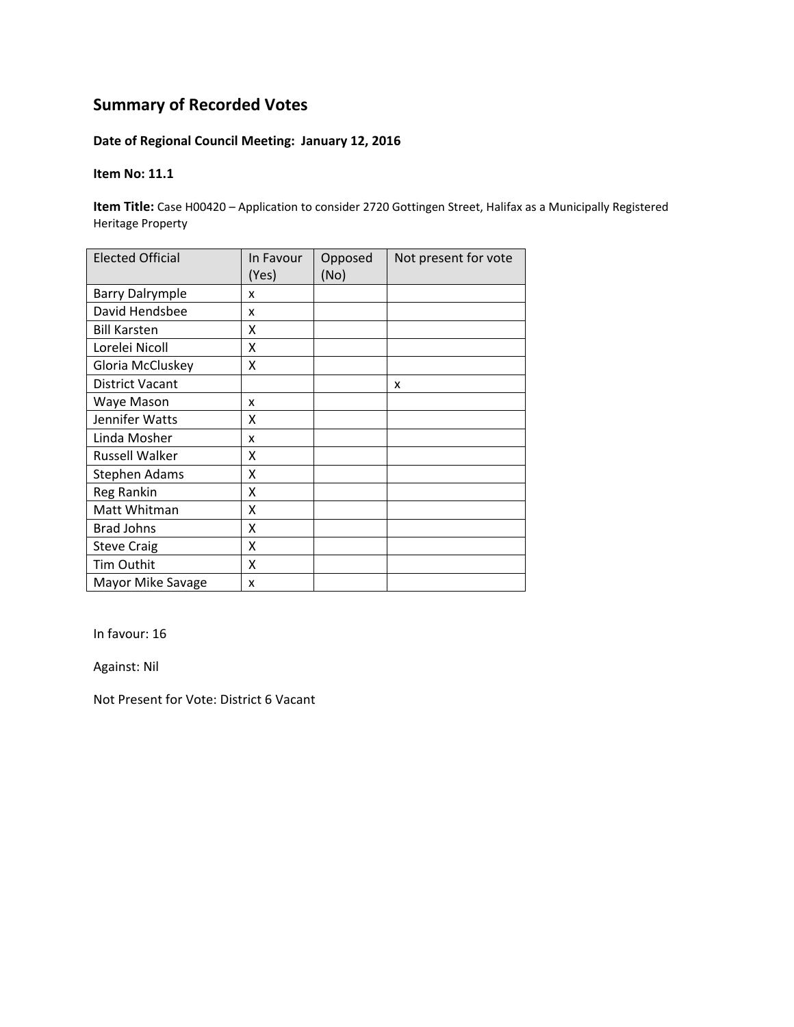## **Date of Regional Council Meeting: January 12, 2016**

#### **Item No: 11.1**

**Item Title:** Case H00420 – Application to consider 2720 Gottingen Street, Halifax as a Municipally Registered Heritage Property

| <b>Elected Official</b> | In Favour<br>(Yes) | Opposed<br>(No) | Not present for vote |
|-------------------------|--------------------|-----------------|----------------------|
| <b>Barry Dalrymple</b>  | x                  |                 |                      |
| David Hendsbee          | x                  |                 |                      |
| <b>Bill Karsten</b>     | x                  |                 |                      |
| Lorelei Nicoll          | X                  |                 |                      |
| Gloria McCluskey        | Χ                  |                 |                      |
| <b>District Vacant</b>  |                    |                 | x                    |
| Waye Mason              | x                  |                 |                      |
| Jennifer Watts          | x                  |                 |                      |
| Linda Mosher            | x                  |                 |                      |
| <b>Russell Walker</b>   | x                  |                 |                      |
| <b>Stephen Adams</b>    | X                  |                 |                      |
| Reg Rankin              | x                  |                 |                      |
| Matt Whitman            | X                  |                 |                      |
| <b>Brad Johns</b>       | X                  |                 |                      |
| <b>Steve Craig</b>      | X                  |                 |                      |
| Tim Outhit              | X                  |                 |                      |
| Mayor Mike Savage       | x                  |                 |                      |

In favour: 16

Against: Nil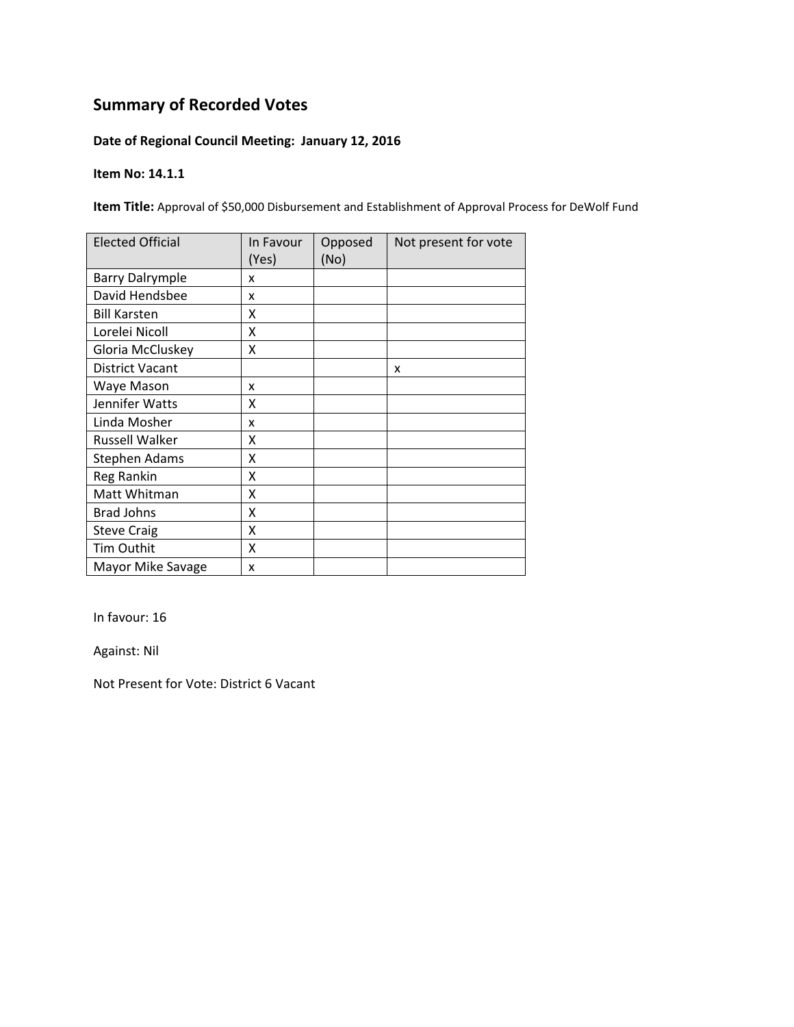## **Date of Regional Council Meeting: January 12, 2016**

#### **Item No: 14.1.1**

**Item Title:** Approval of \$50,000 Disbursement and Establishment of Approval Process for DeWolf Fund

| <b>Elected Official</b> | In Favour<br>(Yes) | Opposed<br>(No) | Not present for vote |
|-------------------------|--------------------|-----------------|----------------------|
| <b>Barry Dalrymple</b>  | x                  |                 |                      |
| David Hendsbee          | x                  |                 |                      |
| <b>Bill Karsten</b>     | x                  |                 |                      |
| Lorelei Nicoll          | Χ                  |                 |                      |
| Gloria McCluskey        | Χ                  |                 |                      |
| <b>District Vacant</b>  |                    |                 | x                    |
| Waye Mason              | x                  |                 |                      |
| Jennifer Watts          | x                  |                 |                      |
| Linda Mosher            | x                  |                 |                      |
| <b>Russell Walker</b>   | x                  |                 |                      |
| <b>Stephen Adams</b>    | X                  |                 |                      |
| Reg Rankin              | X                  |                 |                      |
| Matt Whitman            | X                  |                 |                      |
| <b>Brad Johns</b>       | X                  |                 |                      |
| <b>Steve Craig</b>      | X                  |                 |                      |
| Tim Outhit              | X                  |                 |                      |
| Mayor Mike Savage       | X                  |                 |                      |

In favour: 16

Against: Nil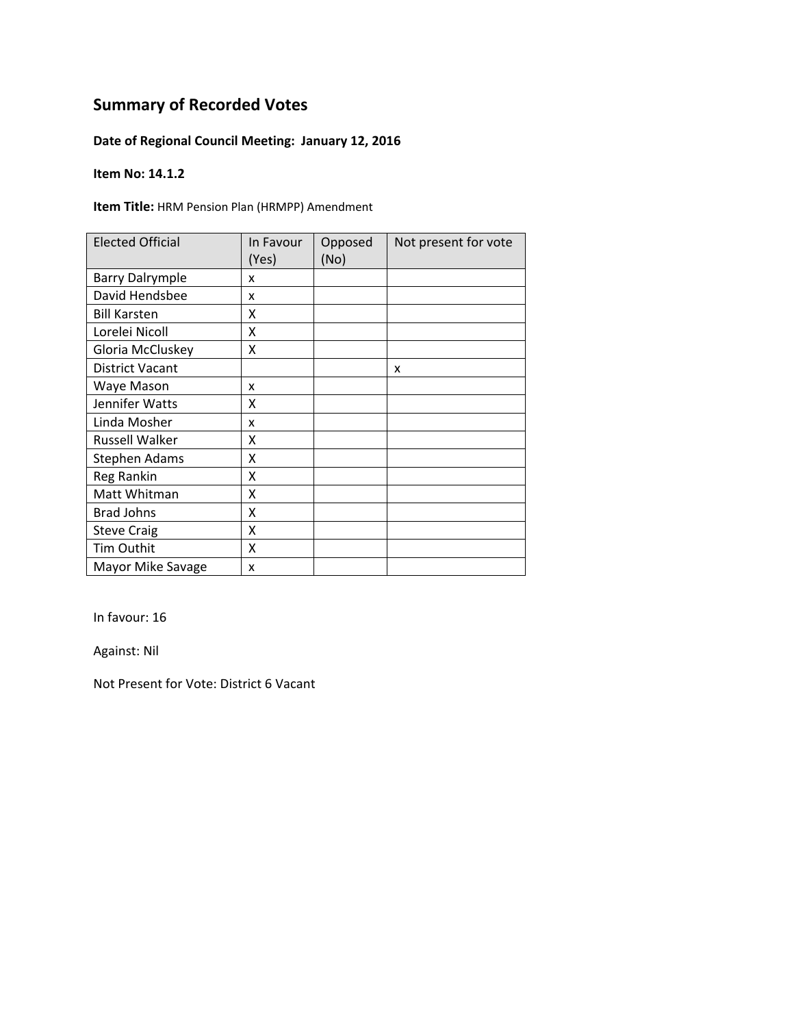## **Date of Regional Council Meeting: January 12, 2016**

#### **Item No: 14.1.2**

**Item Title:** HRM Pension Plan (HRMPP) Amendment

| <b>Elected Official</b> | In Favour<br>(Yes) | Opposed<br>(No) | Not present for vote |
|-------------------------|--------------------|-----------------|----------------------|
| <b>Barry Dalrymple</b>  | x                  |                 |                      |
| David Hendsbee          | X                  |                 |                      |
| <b>Bill Karsten</b>     | χ                  |                 |                      |
| Lorelei Nicoll          | X                  |                 |                      |
| Gloria McCluskey        | Χ                  |                 |                      |
| <b>District Vacant</b>  |                    |                 | x                    |
| Waye Mason              | x                  |                 |                      |
| Jennifer Watts          | x                  |                 |                      |
| Linda Mosher            | x                  |                 |                      |
| <b>Russell Walker</b>   | χ                  |                 |                      |
| Stephen Adams           | Χ                  |                 |                      |
| Reg Rankin              | X                  |                 |                      |
| Matt Whitman            | Χ                  |                 |                      |
| <b>Brad Johns</b>       | X                  |                 |                      |
| <b>Steve Craig</b>      | X                  |                 |                      |
| Tim Outhit              | X                  |                 |                      |
| Mayor Mike Savage       | X                  |                 |                      |

In favour: 16

Against: Nil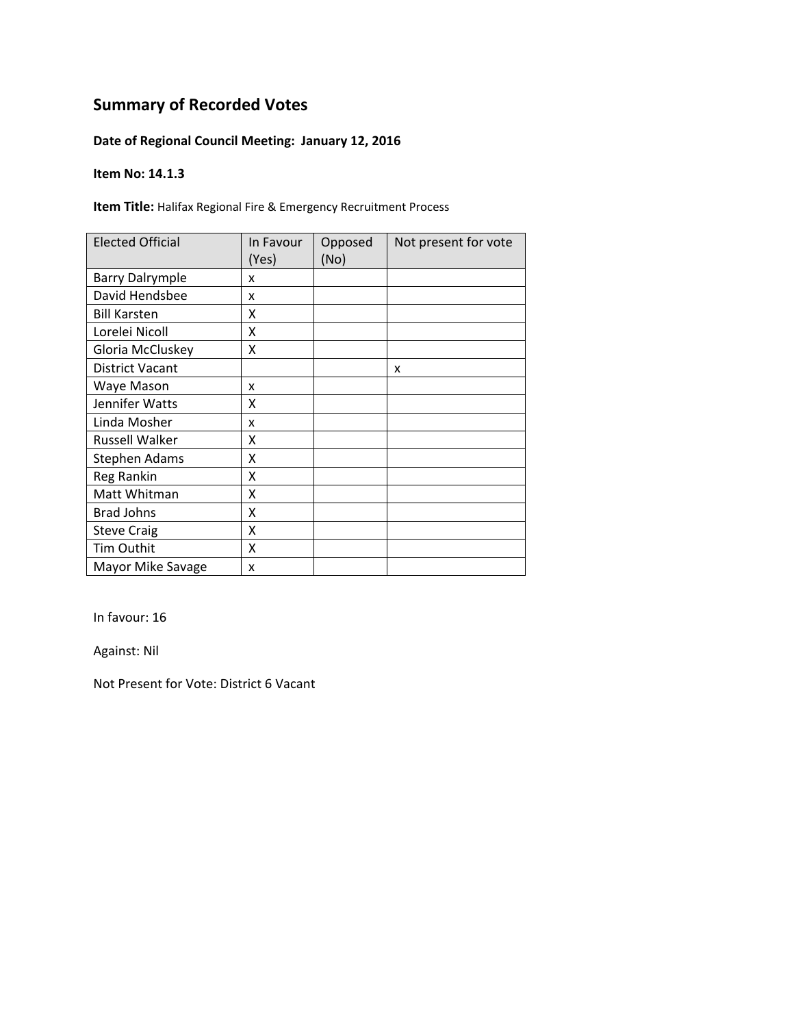## **Date of Regional Council Meeting: January 12, 2016**

#### **Item No: 14.1.3**

**Item Title:** Halifax Regional Fire & Emergency Recruitment Process

| <b>Elected Official</b> | In Favour<br>(Yes) | Opposed<br>(No) | Not present for vote |
|-------------------------|--------------------|-----------------|----------------------|
| <b>Barry Dalrymple</b>  | x                  |                 |                      |
| David Hendsbee          | x                  |                 |                      |
| <b>Bill Karsten</b>     | X                  |                 |                      |
| Lorelei Nicoll          | X                  |                 |                      |
| Gloria McCluskey        | X                  |                 |                      |
| <b>District Vacant</b>  |                    |                 | X                    |
| Waye Mason              | x                  |                 |                      |
| Jennifer Watts          | x                  |                 |                      |
| Linda Mosher            | x                  |                 |                      |
| Russell Walker          | x                  |                 |                      |
| Stephen Adams           | Χ                  |                 |                      |
| Reg Rankin              | X                  |                 |                      |
| Matt Whitman            | X                  |                 |                      |
| <b>Brad Johns</b>       | X                  |                 |                      |
| <b>Steve Craig</b>      | X                  |                 |                      |
| Tim Outhit              | X                  |                 |                      |
| Mayor Mike Savage       | x                  |                 |                      |

In favour: 16

Against: Nil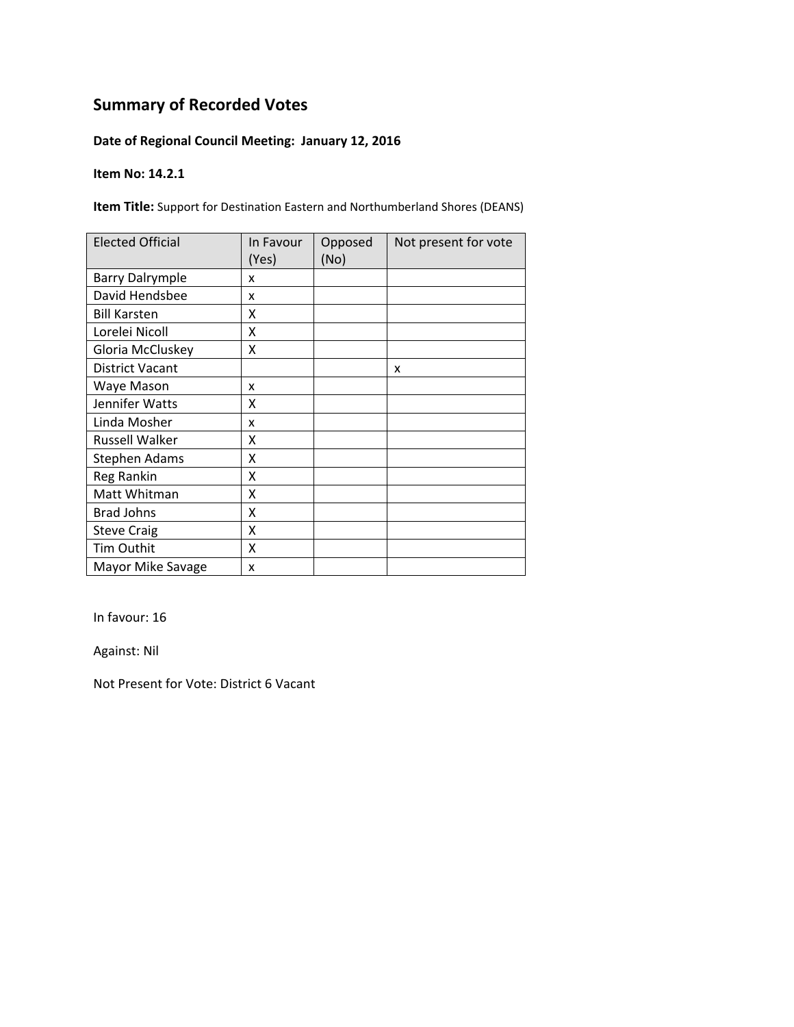## **Date of Regional Council Meeting: January 12, 2016**

#### **Item No: 14.2.1**

**Item Title:** Support for Destination Eastern and Northumberland Shores (DEANS)

| <b>Elected Official</b> | In Favour<br>(Yes) | Opposed<br>(No) | Not present for vote |
|-------------------------|--------------------|-----------------|----------------------|
| <b>Barry Dalrymple</b>  | x                  |                 |                      |
| David Hendsbee          | x                  |                 |                      |
| <b>Bill Karsten</b>     | χ                  |                 |                      |
| Lorelei Nicoll          | Χ                  |                 |                      |
| Gloria McCluskey        | Χ                  |                 |                      |
| <b>District Vacant</b>  |                    |                 | X                    |
| Waye Mason              | x                  |                 |                      |
| Jennifer Watts          | χ                  |                 |                      |
| Linda Mosher            | x                  |                 |                      |
| <b>Russell Walker</b>   | χ                  |                 |                      |
| Stephen Adams           | χ                  |                 |                      |
| Reg Rankin              | Χ                  |                 |                      |
| Matt Whitman            | Χ                  |                 |                      |
| <b>Brad Johns</b>       | X                  |                 |                      |
| <b>Steve Craig</b>      | X                  |                 |                      |
| Tim Outhit              | Χ                  |                 |                      |
| Mayor Mike Savage       | x                  |                 |                      |

In favour: 16

Against: Nil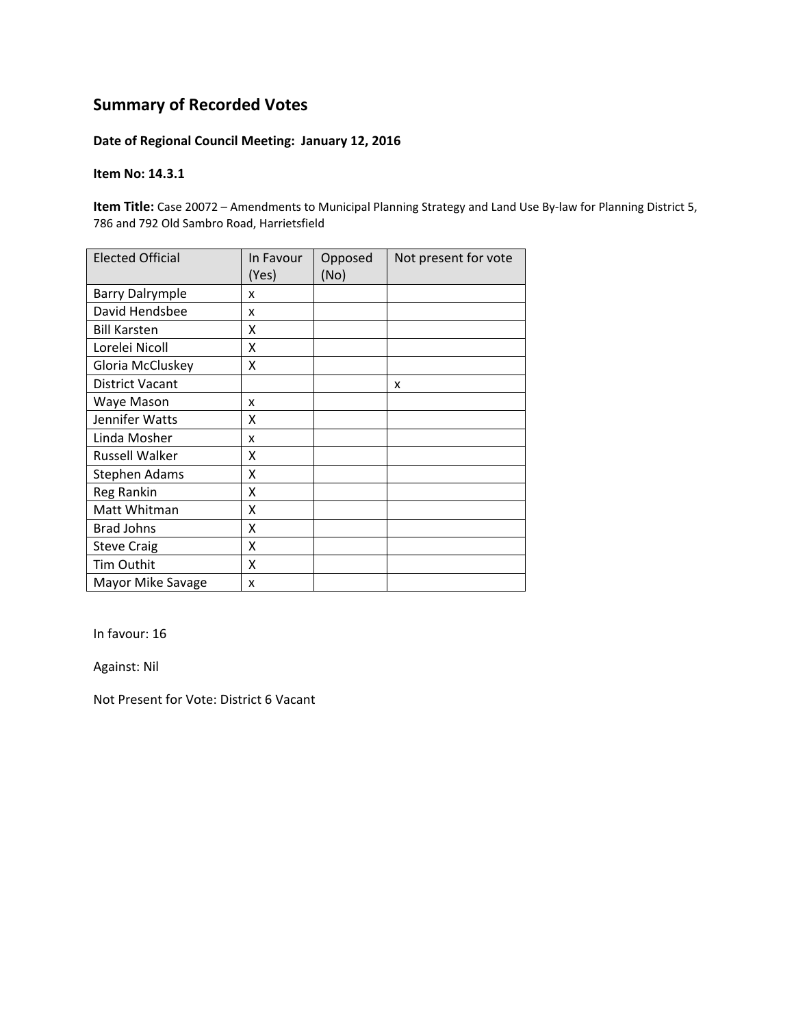### **Date of Regional Council Meeting: January 12, 2016**

#### **Item No: 14.3.1**

**Item Title:** Case 20072 – Amendments to Municipal Planning Strategy and Land Use By‐law for Planning District 5, 786 and 792 Old Sambro Road, Harrietsfield

| <b>Elected Official</b> | In Favour<br>(Yes) | Opposed<br>(No) | Not present for vote |
|-------------------------|--------------------|-----------------|----------------------|
| <b>Barry Dalrymple</b>  | x                  |                 |                      |
| David Hendsbee          | x                  |                 |                      |
| <b>Bill Karsten</b>     | x                  |                 |                      |
| Lorelei Nicoll          | Χ                  |                 |                      |
| Gloria McCluskey        | Χ                  |                 |                      |
| <b>District Vacant</b>  |                    |                 | X                    |
| Waye Mason              | x                  |                 |                      |
| Jennifer Watts          | x                  |                 |                      |
| Linda Mosher            | x                  |                 |                      |
| Russell Walker          | x                  |                 |                      |
| <b>Stephen Adams</b>    | Χ                  |                 |                      |
| Reg Rankin              | Χ                  |                 |                      |
| Matt Whitman            | Χ                  |                 |                      |
| <b>Brad Johns</b>       | X                  |                 |                      |
| <b>Steve Craig</b>      | Χ                  |                 |                      |
| Tim Outhit              | X                  |                 |                      |
| Mayor Mike Savage       | x                  |                 |                      |

In favour: 16

Against: Nil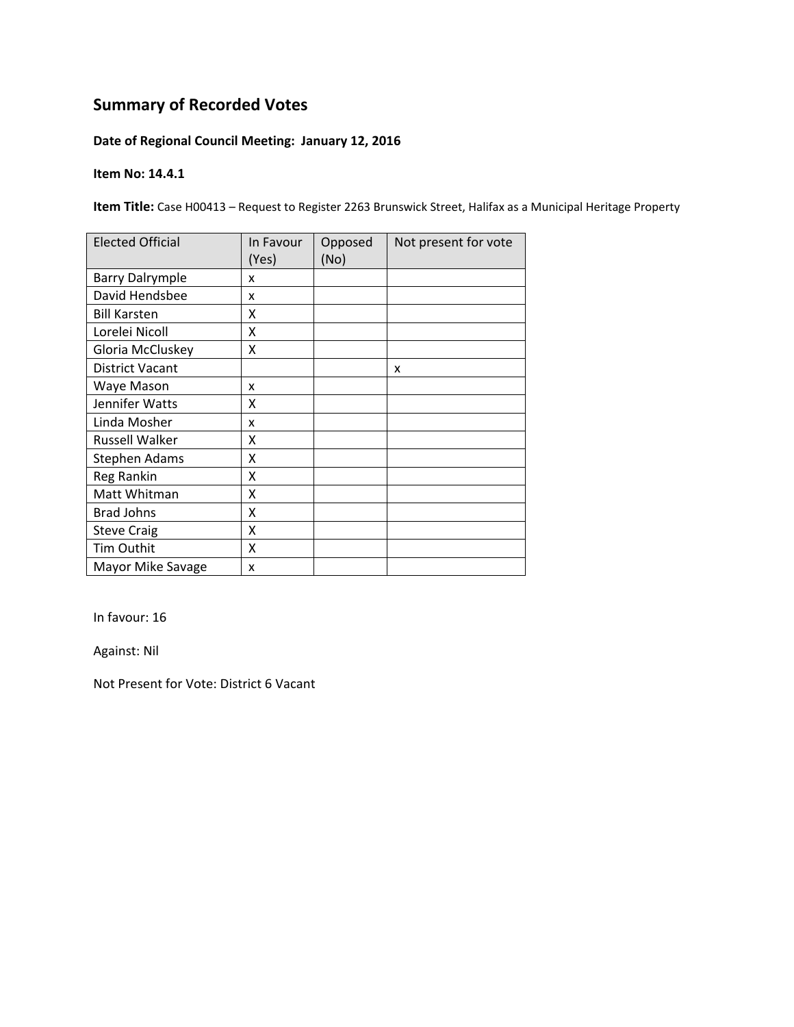## **Date of Regional Council Meeting: January 12, 2016**

#### **Item No: 14.4.1**

**Item Title:** Case H00413 – Request to Register 2263 Brunswick Street, Halifax as a Municipal Heritage Property

| <b>Elected Official</b> | In Favour<br>(Yes) | Opposed<br>(No) | Not present for vote |
|-------------------------|--------------------|-----------------|----------------------|
| <b>Barry Dalrymple</b>  | x                  |                 |                      |
| David Hendsbee          | x                  |                 |                      |
| <b>Bill Karsten</b>     | x                  |                 |                      |
| Lorelei Nicoll          | x                  |                 |                      |
| Gloria McCluskey        | Χ                  |                 |                      |
| <b>District Vacant</b>  |                    |                 | X                    |
| Waye Mason              | x                  |                 |                      |
| Jennifer Watts          | x                  |                 |                      |
| Linda Mosher            | x                  |                 |                      |
| <b>Russell Walker</b>   | x                  |                 |                      |
| <b>Stephen Adams</b>    | X                  |                 |                      |
| Reg Rankin              | X                  |                 |                      |
| Matt Whitman            | Χ                  |                 |                      |
| <b>Brad Johns</b>       | X                  |                 |                      |
| <b>Steve Craig</b>      | X                  |                 |                      |
| <b>Tim Outhit</b>       | X                  |                 |                      |
| Mayor Mike Savage       | X                  |                 |                      |

In favour: 16

Against: Nil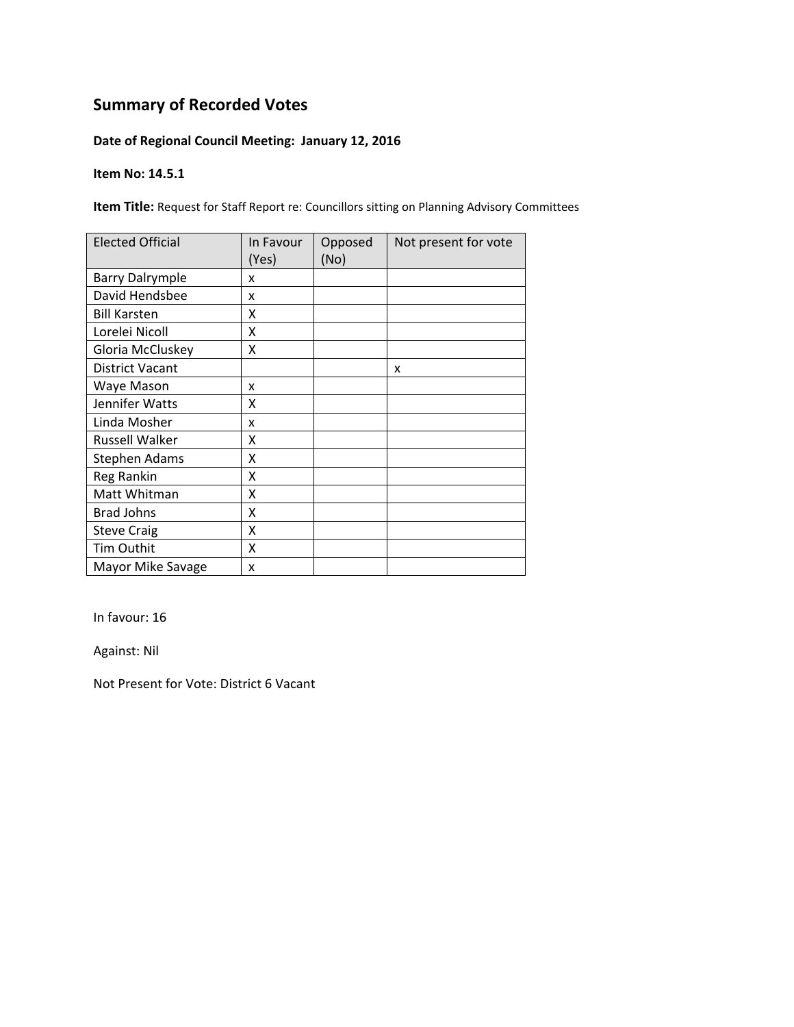## **Date of Regional Council Meeting: January 12, 2016**

#### **Item No: 14.5.1**

**Item Title:** Request for Staff Report re: Councillors sitting on Planning Advisory Committees

| <b>Elected Official</b> | In Favour<br>(Yes) | Opposed<br>(No) | Not present for vote |
|-------------------------|--------------------|-----------------|----------------------|
| <b>Barry Dalrymple</b>  | x                  |                 |                      |
| David Hendsbee          | x                  |                 |                      |
| <b>Bill Karsten</b>     | χ                  |                 |                      |
| Lorelei Nicoll          | Χ                  |                 |                      |
| Gloria McCluskey        | X                  |                 |                      |
| <b>District Vacant</b>  |                    |                 | x                    |
| Waye Mason              | x                  |                 |                      |
| Jennifer Watts          | χ                  |                 |                      |
| Linda Mosher            | x                  |                 |                      |
| <b>Russell Walker</b>   | χ                  |                 |                      |
| Stephen Adams           | χ                  |                 |                      |
| Reg Rankin              | X                  |                 |                      |
| Matt Whitman            | Χ                  |                 |                      |
| <b>Brad Johns</b>       | X                  |                 |                      |
| <b>Steve Craig</b>      | Χ                  |                 |                      |
| Tim Outhit              | X                  |                 |                      |
| Mayor Mike Savage       | X                  |                 |                      |

In favour: 16

Against: Nil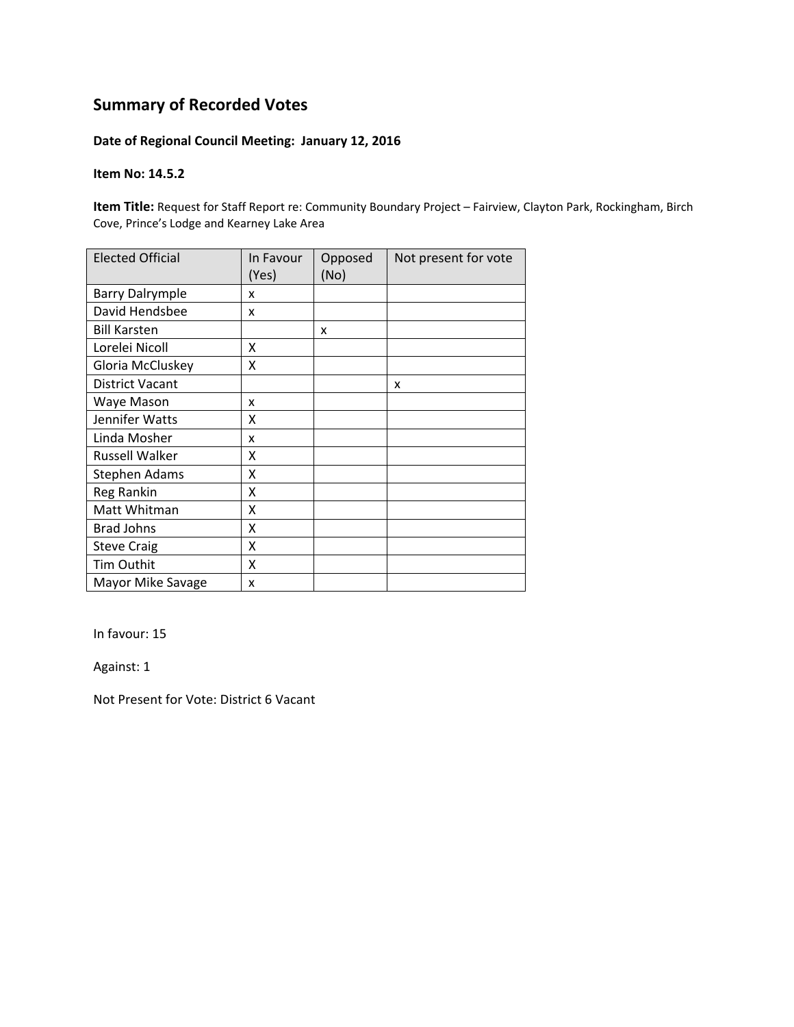### **Date of Regional Council Meeting: January 12, 2016**

#### **Item No: 14.5.2**

**Item Title:** Request for Staff Report re: Community Boundary Project – Fairview, Clayton Park, Rockingham, Birch Cove, Prince's Lodge and Kearney Lake Area

| <b>Elected Official</b> | In Favour<br>(Yes) | Opposed<br>(No) | Not present for vote |
|-------------------------|--------------------|-----------------|----------------------|
| <b>Barry Dalrymple</b>  | x                  |                 |                      |
| David Hendsbee          | x                  |                 |                      |
| <b>Bill Karsten</b>     |                    | x               |                      |
| Lorelei Nicoll          | Χ                  |                 |                      |
| Gloria McCluskey        | Χ                  |                 |                      |
| <b>District Vacant</b>  |                    |                 | X                    |
| Waye Mason              | x                  |                 |                      |
| Jennifer Watts          | X                  |                 |                      |
| Linda Mosher            | x                  |                 |                      |
| <b>Russell Walker</b>   | x                  |                 |                      |
| <b>Stephen Adams</b>    | Χ                  |                 |                      |
| Reg Rankin              | Χ                  |                 |                      |
| Matt Whitman            | Χ                  |                 |                      |
| <b>Brad Johns</b>       | Χ                  |                 |                      |
| <b>Steve Craig</b>      | X                  |                 |                      |
| Tim Outhit              | X                  |                 |                      |
| Mayor Mike Savage       | x                  |                 |                      |

In favour: 15

Against: 1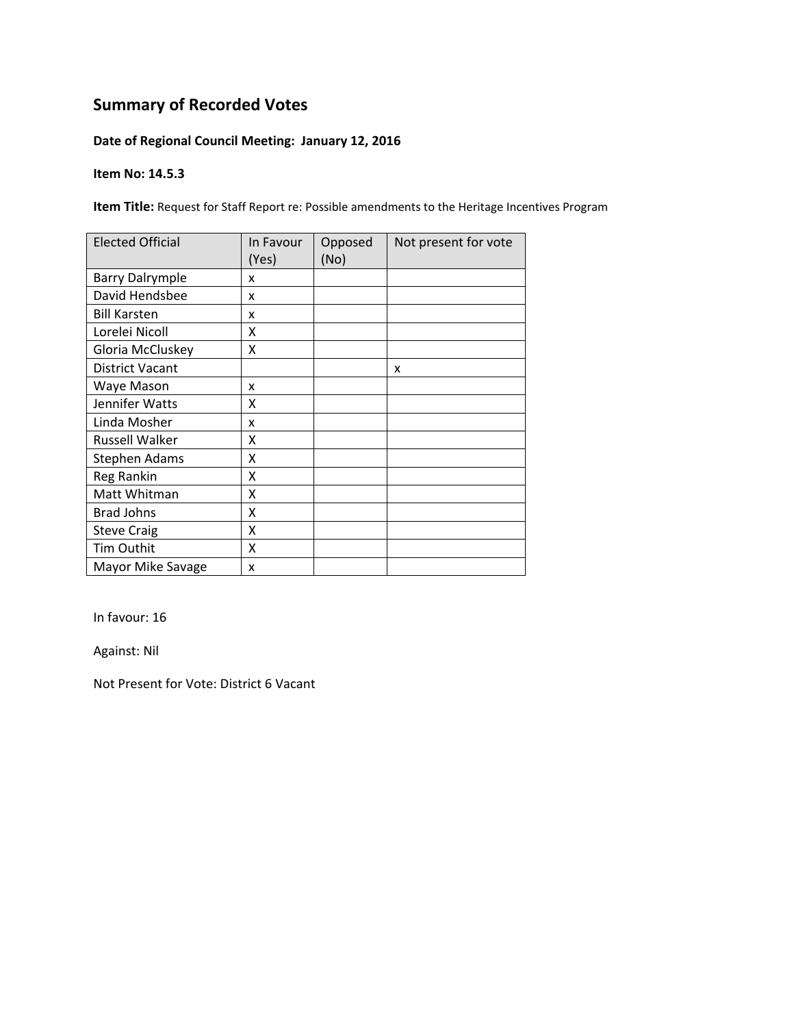## **Date of Regional Council Meeting: January 12, 2016**

#### **Item No: 14.5.3**

**Item Title:** Request for Staff Report re: Possible amendments to the Heritage Incentives Program

| <b>Elected Official</b> | In Favour<br>(Yes) | Opposed<br>(No) | Not present for vote |
|-------------------------|--------------------|-----------------|----------------------|
| <b>Barry Dalrymple</b>  | x                  |                 |                      |
| David Hendsbee          | x                  |                 |                      |
| <b>Bill Karsten</b>     | x                  |                 |                      |
| Lorelei Nicoll          | x                  |                 |                      |
| Gloria McCluskey        | Χ                  |                 |                      |
| <b>District Vacant</b>  |                    |                 | X                    |
| Waye Mason              | x                  |                 |                      |
| Jennifer Watts          | x                  |                 |                      |
| Linda Mosher            | x                  |                 |                      |
| <b>Russell Walker</b>   | X                  |                 |                      |
| <b>Stephen Adams</b>    | X                  |                 |                      |
| Reg Rankin              | X                  |                 |                      |
| Matt Whitman            | X                  |                 |                      |
| <b>Brad Johns</b>       | X                  |                 |                      |
| <b>Steve Craig</b>      | X                  |                 |                      |
| <b>Tim Outhit</b>       | X                  |                 |                      |
| Mayor Mike Savage       | X                  |                 |                      |

In favour: 16

Against: Nil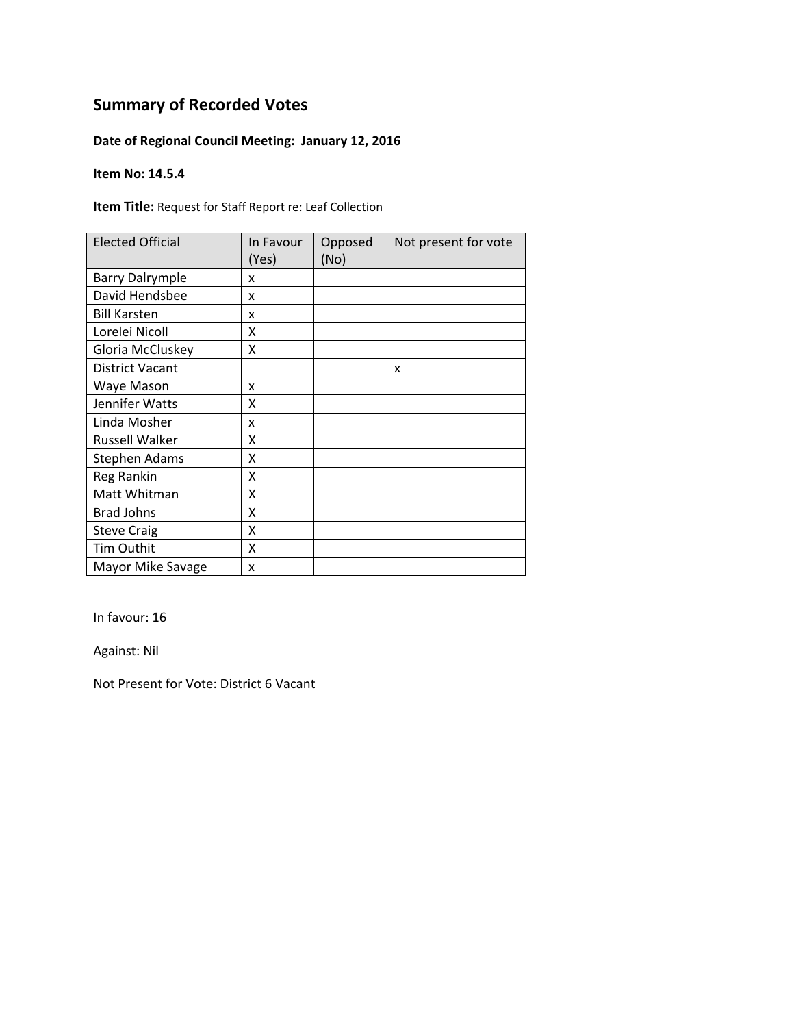## **Date of Regional Council Meeting: January 12, 2016**

#### **Item No: 14.5.4**

**Item Title:** Request for Staff Report re: Leaf Collection

| <b>Elected Official</b> | In Favour<br>(Yes) | Opposed<br>(No) | Not present for vote |
|-------------------------|--------------------|-----------------|----------------------|
| <b>Barry Dalrymple</b>  | x                  |                 |                      |
| David Hendsbee          | x                  |                 |                      |
| <b>Bill Karsten</b>     | x                  |                 |                      |
| Lorelei Nicoll          | χ                  |                 |                      |
| Gloria McCluskey        | Χ                  |                 |                      |
| <b>District Vacant</b>  |                    |                 | x                    |
| Waye Mason              | x                  |                 |                      |
| Jennifer Watts          | χ                  |                 |                      |
| Linda Mosher            | x                  |                 |                      |
| <b>Russell Walker</b>   | χ                  |                 |                      |
| <b>Stephen Adams</b>    | χ                  |                 |                      |
| Reg Rankin              | Χ                  |                 |                      |
| Matt Whitman            | Χ                  |                 |                      |
| <b>Brad Johns</b>       | X                  |                 |                      |
| <b>Steve Craig</b>      | X                  |                 |                      |
| <b>Tim Outhit</b>       | Χ                  |                 |                      |
| Mayor Mike Savage       | X                  |                 |                      |

In favour: 16

Against: Nil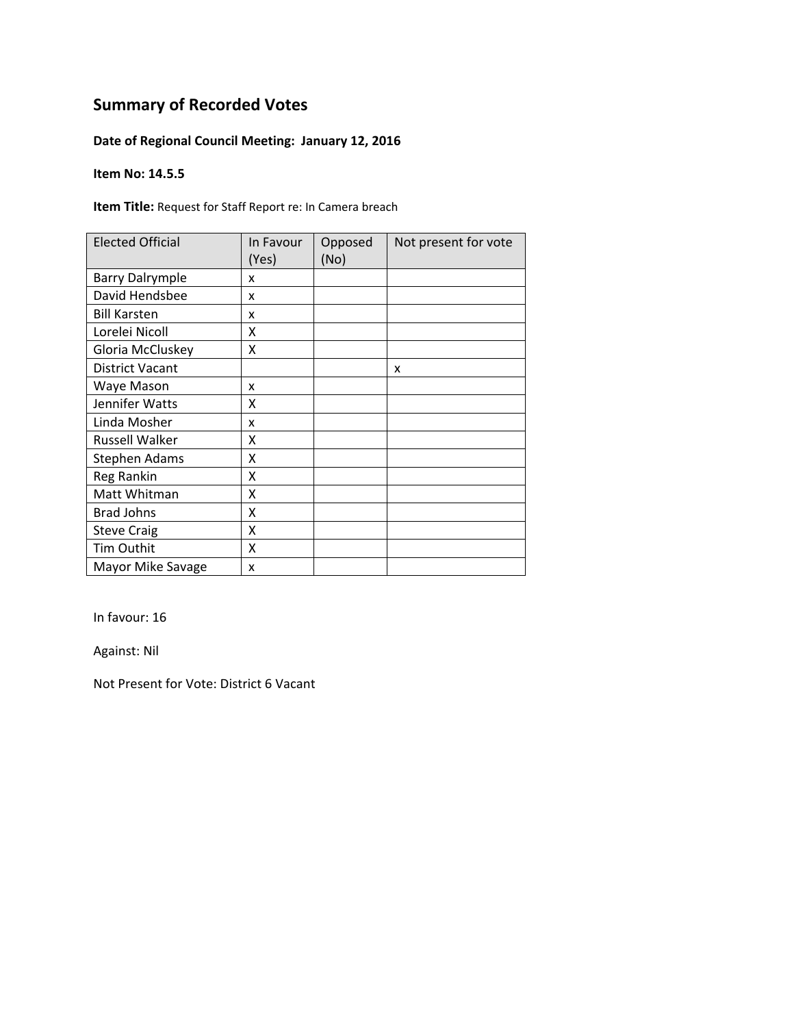## **Date of Regional Council Meeting: January 12, 2016**

#### **Item No: 14.5.5**

**Item Title:** Request for Staff Report re: In Camera breach

| <b>Elected Official</b> | In Favour<br>(Yes) | Opposed<br>(No) | Not present for vote |
|-------------------------|--------------------|-----------------|----------------------|
| <b>Barry Dalrymple</b>  | x                  |                 |                      |
| David Hendsbee          | x                  |                 |                      |
| <b>Bill Karsten</b>     | x                  |                 |                      |
| Lorelei Nicoll          | χ                  |                 |                      |
| Gloria McCluskey        | Χ                  |                 |                      |
| <b>District Vacant</b>  |                    |                 | x                    |
| Waye Mason              | x                  |                 |                      |
| Jennifer Watts          | χ                  |                 |                      |
| Linda Mosher            | x                  |                 |                      |
| <b>Russell Walker</b>   | χ                  |                 |                      |
| <b>Stephen Adams</b>    | Χ                  |                 |                      |
| Reg Rankin              | Χ                  |                 |                      |
| Matt Whitman            | X                  |                 |                      |
| <b>Brad Johns</b>       | X                  |                 |                      |
| <b>Steve Craig</b>      | X                  |                 |                      |
| Tim Outhit              | X                  |                 |                      |
| Mayor Mike Savage       | X                  |                 |                      |

In favour: 16

Against: Nil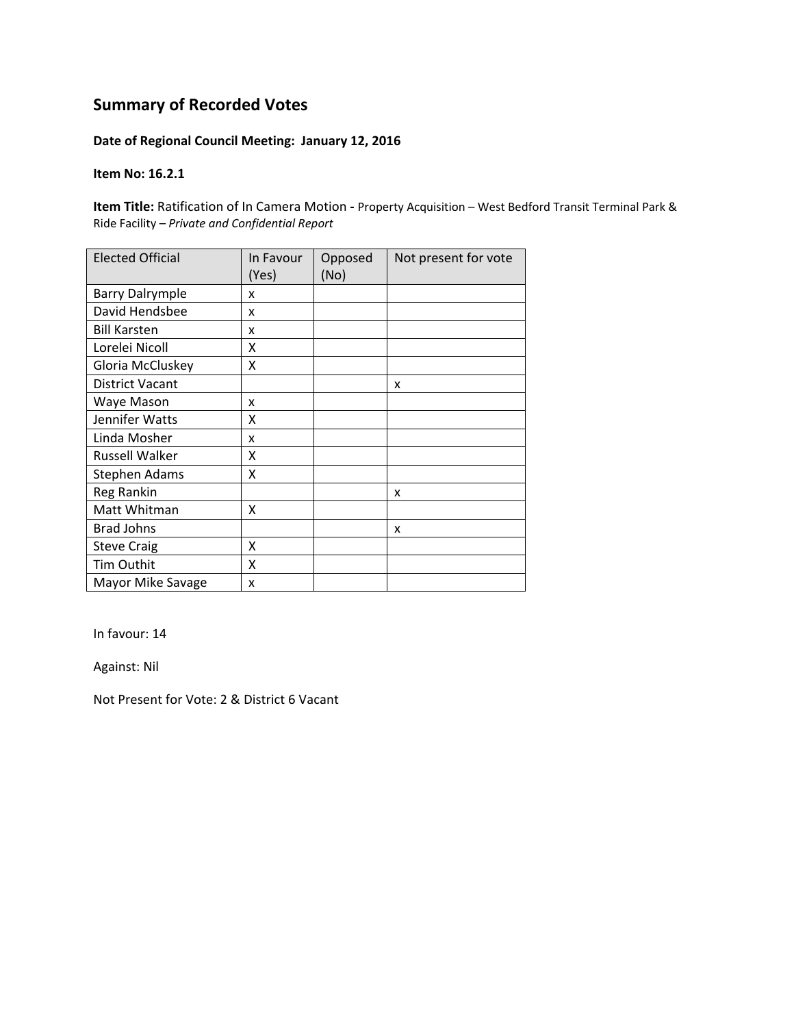### **Date of Regional Council Meeting: January 12, 2016**

#### **Item No: 16.2.1**

**Item Title:** Ratification of In Camera Motion **‐** Property Acquisition – West Bedford Transit Terminal Park & Ride Facility *– Private and Confidential Report*

| <b>Elected Official</b> | In Favour<br>(Yes) | Opposed<br>(No) | Not present for vote |
|-------------------------|--------------------|-----------------|----------------------|
| <b>Barry Dalrymple</b>  | x                  |                 |                      |
| David Hendsbee          | x                  |                 |                      |
| <b>Bill Karsten</b>     | x                  |                 |                      |
| Lorelei Nicoll          | Χ                  |                 |                      |
| Gloria McCluskey        | Χ                  |                 |                      |
| <b>District Vacant</b>  |                    |                 | X                    |
| Waye Mason              | x                  |                 |                      |
| Jennifer Watts          | x                  |                 |                      |
| Linda Mosher            | x                  |                 |                      |
| Russell Walker          | x                  |                 |                      |
| <b>Stephen Adams</b>    | Χ                  |                 |                      |
| Reg Rankin              |                    |                 | X                    |
| Matt Whitman            | χ                  |                 |                      |
| <b>Brad Johns</b>       |                    |                 | x                    |
| <b>Steve Craig</b>      | X                  |                 |                      |
| Tim Outhit              | X                  |                 |                      |
| Mayor Mike Savage       | x                  |                 |                      |

In favour: 14

Against: Nil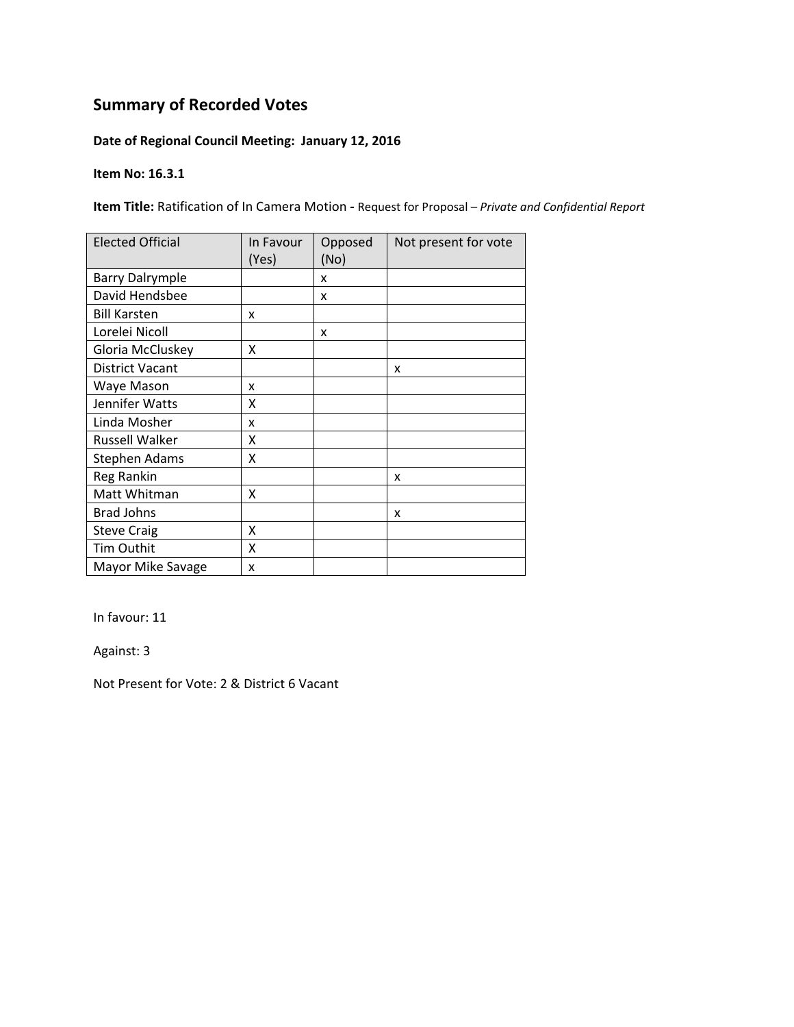## **Date of Regional Council Meeting: January 12, 2016**

#### **Item No: 16.3.1**

**Item Title:** Ratification of In Camera Motion **‐** Request for Proposal – *Private and Confidential Report*

| <b>Elected Official</b> | In Favour<br>(Yes) | Opposed<br>(No) | Not present for vote |
|-------------------------|--------------------|-----------------|----------------------|
| <b>Barry Dalrymple</b>  |                    | x               |                      |
| David Hendsbee          |                    | x               |                      |
| <b>Bill Karsten</b>     | x                  |                 |                      |
| Lorelei Nicoll          |                    | x               |                      |
| Gloria McCluskey        | x                  |                 |                      |
| <b>District Vacant</b>  |                    |                 | X                    |
| Waye Mason              | x                  |                 |                      |
| Jennifer Watts          | x                  |                 |                      |
| Linda Mosher            | x                  |                 |                      |
| Russell Walker          | x                  |                 |                      |
| <b>Stephen Adams</b>    | x                  |                 |                      |
| Reg Rankin              |                    |                 | x                    |
| Matt Whitman            | x                  |                 |                      |
| <b>Brad Johns</b>       |                    |                 | x                    |
| <b>Steve Craig</b>      | X                  |                 |                      |
| Tim Outhit              | X                  |                 |                      |
| Mayor Mike Savage       | X                  |                 |                      |

In favour: 11

Against: 3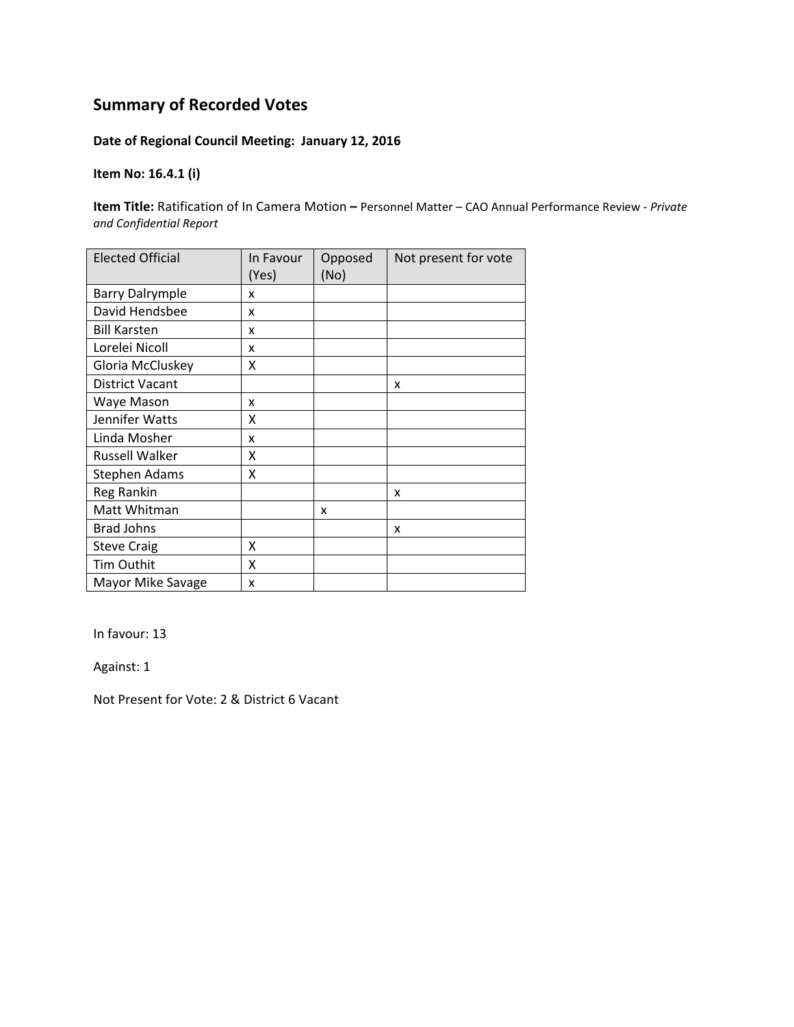## **Date of Regional Council Meeting: January 12, 2016**

### **Item No: 16.4.1 (i)**

**Item Title:** Ratification of In Camera Motion **–** Personnel Matter – CAO Annual Performance Review ‐ *Private and Confidential Report*

| <b>Elected Official</b> | In Favour<br>(Yes) | Opposed<br>(No) | Not present for vote |
|-------------------------|--------------------|-----------------|----------------------|
| <b>Barry Dalrymple</b>  | x                  |                 |                      |
| David Hendsbee          | x                  |                 |                      |
| <b>Bill Karsten</b>     | x                  |                 |                      |
| Lorelei Nicoll          | x                  |                 |                      |
| Gloria McCluskey        | x                  |                 |                      |
| <b>District Vacant</b>  |                    |                 | x                    |
| Waye Mason              | x                  |                 |                      |
| Jennifer Watts          | x                  |                 |                      |
| Linda Mosher            | x                  |                 |                      |
| <b>Russell Walker</b>   | x                  |                 |                      |
| Stephen Adams           | x                  |                 |                      |
| <b>Reg Rankin</b>       |                    |                 | x                    |
| Matt Whitman            |                    | x               |                      |
| <b>Brad Johns</b>       |                    |                 | x                    |
| <b>Steve Craig</b>      | x                  |                 |                      |
| Tim Outhit              | X                  |                 |                      |
| Mayor Mike Savage       | x                  |                 |                      |

In favour: 13

Against: 1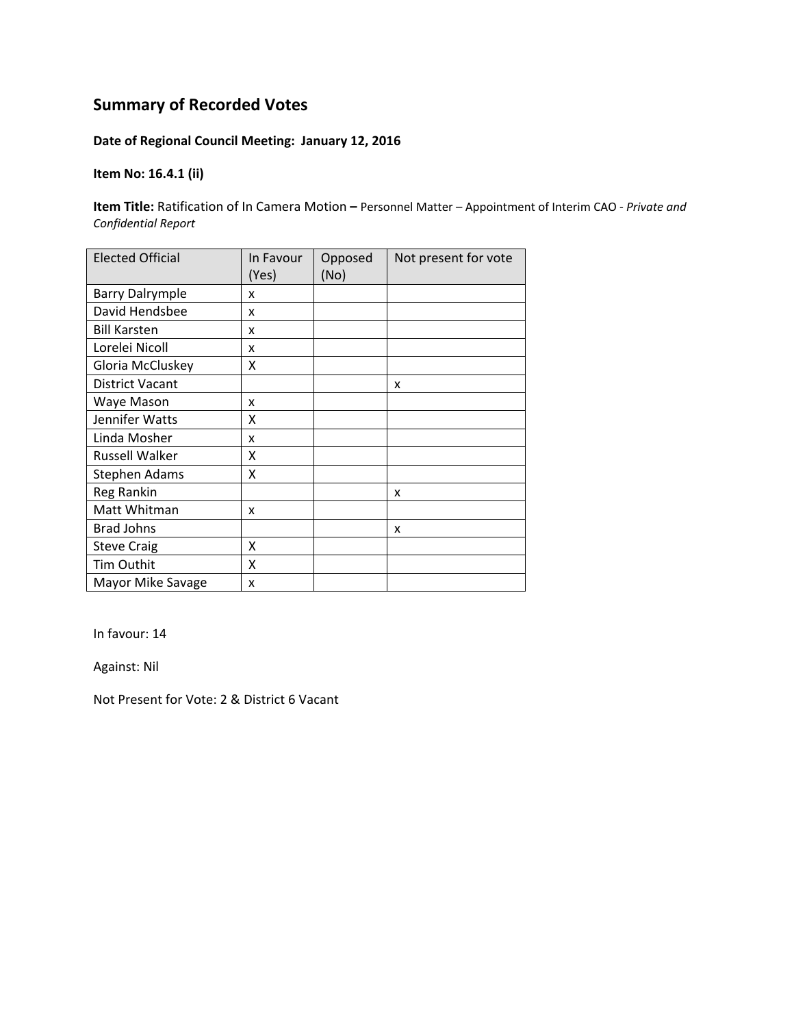## **Date of Regional Council Meeting: January 12, 2016**

### **Item No: 16.4.1 (ii)**

**Item Title:** Ratification of In Camera Motion **–** Personnel Matter – Appointment of Interim CAO ‐ *Private and Confidential Report*

| <b>Elected Official</b> | In Favour<br>(Yes) | Opposed<br>(No) | Not present for vote |
|-------------------------|--------------------|-----------------|----------------------|
| <b>Barry Dalrymple</b>  | x                  |                 |                      |
| David Hendsbee          | x                  |                 |                      |
| <b>Bill Karsten</b>     | x                  |                 |                      |
| Lorelei Nicoll          | x                  |                 |                      |
| Gloria McCluskey        | x                  |                 |                      |
| <b>District Vacant</b>  |                    |                 | x                    |
| Waye Mason              | x                  |                 |                      |
| Jennifer Watts          | x                  |                 |                      |
| Linda Mosher            | x                  |                 |                      |
| <b>Russell Walker</b>   | x                  |                 |                      |
| Stephen Adams           | x                  |                 |                      |
| <b>Reg Rankin</b>       |                    |                 | x                    |
| Matt Whitman            | x                  |                 |                      |
| <b>Brad Johns</b>       |                    |                 | x                    |
| <b>Steve Craig</b>      | x                  |                 |                      |
| Tim Outhit              | X                  |                 |                      |
| Mayor Mike Savage       | x                  |                 |                      |

In favour: 14

Against: Nil